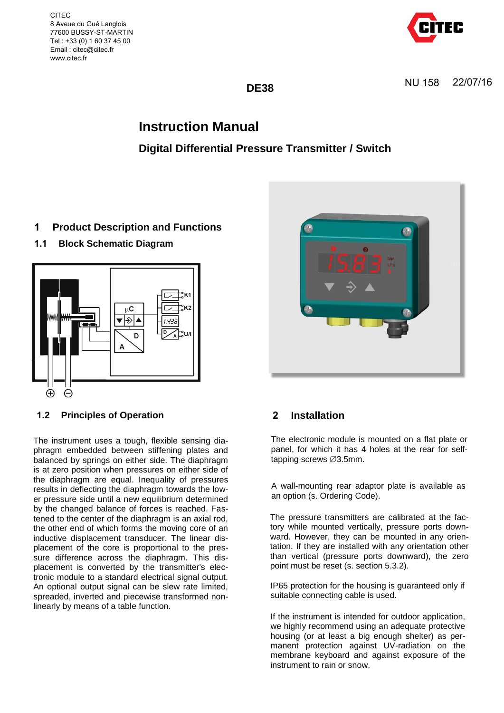CITEC 8 Aveue du Gué Langlois 77600 BUSSY-ST-MARTIN Tel : +33 (0) 1 60 37 45 00 Email : citec@citec.fr www.citec.fr



**DE38** 

# **Instruction Manual**

# **Digital Differential Pressure Transmitter / Switch**

# **1 Product Description and Functions**

**1.1 Block Schematic Diagram**



# **1.2 Principles of Operation**

The instrument uses a tough, flexible sensing diaphragm embedded between stiffening plates and balanced by springs on either side. The diaphragm is at zero position when pressures on either side of the diaphragm are equal. Inequality of pressures results in deflecting the diaphragm towards the lower pressure side until a new equilibrium determined by the changed balance of forces is reached. Fastened to the center of the diaphragm is an axial rod, the other end of which forms the moving core of an inductive displacement transducer. The linear displacement of the core is proportional to the pressure difference across the diaphragm. This displacement is converted by the transmitter's electronic module to a standard electrical signal output. An optional output signal can be slew rate limited, spreaded, inverted and piecewise transformed nonlinearly by means of a table function.



# **2 Installation**

The electronic module is mounted on a flat plate or panel, for which it has 4 holes at the rear for selftapping screws  $\varnothing$ 3.5mm.

A wall-mounting rear adaptor plate is available as an option (s. Ordering Code).

The pressure transmitters are calibrated at the factory while mounted vertically, pressure ports downward. However, they can be mounted in any orientation. If they are installed with any orientation other than vertical (pressure ports downward), the zero point must be reset (s. section 5.3.2).

IP65 protection for the housing is guaranteed only if suitable connecting cable is used.

If the instrument is intended for outdoor application, we highly recommend using an adequate protective housing (or at least a big enough shelter) as permanent protection against UV-radiation on the membrane keyboard and against exposure of the instrument to rain or snow.

NU 158 22/07/16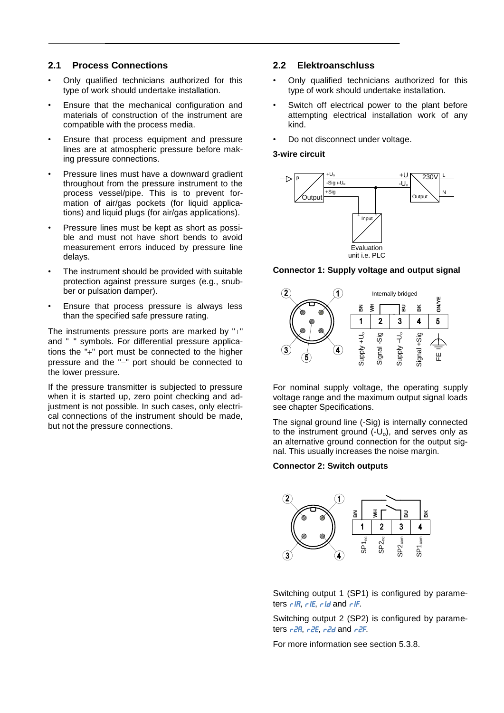### **2.1 Process Connections**

- Only qualified technicians authorized for this type of work should undertake installation.
- Ensure that the mechanical configuration and materials of construction of the instrument are compatible with the process media.
- Ensure that process equipment and pressure lines are at atmospheric pressure before making pressure connections.
- Pressure lines must have a downward gradient throughout from the pressure instrument to the process vessel/pipe. This is to prevent formation of air/gas pockets (for liquid applications) and liquid plugs (for air/gas applications).
- Pressure lines must be kept as short as possible and must not have short bends to avoid measurement errors induced by pressure line delays.
- The instrument should be provided with suitable protection against pressure surges (e.g., snubber or pulsation damper).
- Ensure that process pressure is always less than the specified safe pressure rating.

The instruments pressure ports are marked by  $+$ " and "-" symbols. For differential pressure applications the " $+$ " port must be connected to the higher pressure and the "-" port should be connected to the lower pressure.

If the pressure transmitter is subjected to pressure when it is started up, zero point checking and adjustment is not possible. In such cases, only electrical connections of the instrument should be made, but not the pressure connections.

### **2.2 Elektroanschluss**

- Only qualified technicians authorized for this type of work should undertake installation.
- Switch off electrical power to the plant before attempting electrical installation work of any kind.
- Do not disconnect under voltage.

### **3-wire circuit**



#### **Connector 1: Supply voltage and output signal**



For nominal supply voltage, the operating supply voltage range and the maximum output signal loads see chapter Specifications.

The signal ground line (-Sig) is internally connected to the instrument ground  $\tilde{(-U_0)}$ , and serves only as an alternative ground connection for the output signal. This usually increases the noise margin.

#### **Connector 2: Switch outputs**



Switching output 1 (SP1) is configured by parameters  $r/R$ ,  $r/E$ ,  $r Id$  and  $r/F$ .

Switching output 2 (SP2) is configured by parameters  $r^2R$ ,  $r^2E$ ,  $r^2d$  and  $r^2F$ .

For more information see section [5.3.8.](#page-4-0)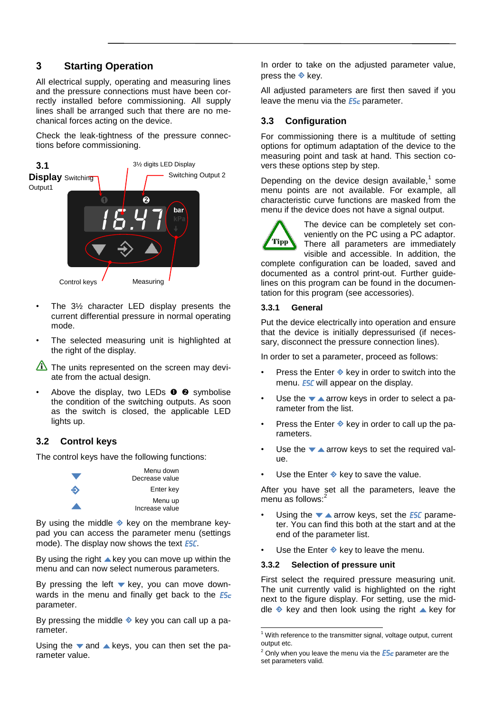# **3 Starting Operation**

All electrical supply, operating and measuring lines and the pressure connections must have been correctly installed before commissioning. All supply lines shall be arranged such that there are no mechanical forces acting on the device.

Check the leak-tightness of the pressure connections before commissioning.



- The 3½ character LED display presents the current differential pressure in normal operating mode.
- The selected measuring unit is highlighted at the right of the display.
- The units represented on the screen may deviate from the actual design.
- Above the display, two LEDs  $\bullet$   $\bullet$  symbolise the condition of the switching outputs. As soon as the switch is closed, the applicable LED lights up.

# **3.2 Control keys**

The control keys have the following functions:



By using the middle  $\triangle$  key on the membrane keypad you can access the parameter menu (settings mode). The display now shows the text **ESC**.

By using the right  $\triangle$  key you can move up within the menu and can now select numerous parameters.

By pressing the left  $\blacktriangledown$  key, you can move downwards in the menu and finally get back to the  $E5c$ parameter.

By pressing the middle  $\triangle$  key you can call up a parameter.

Using the  $\blacktriangledown$  and  $\blacktriangle$  keys, you can then set the parameter value.

In order to take on the adjusted parameter value, press the  $\triangle$  key.

All adjusted parameters are first then saved if you leave the menu via the  $E_2$  parameter.

### **3.3 Configuration**

For commissioning there is a multitude of setting options for optimum adaptation of the device to the measuring point and task at hand. This section covers these options step by step.

Depending on the device design available, $<sup>1</sup>$  some</sup> menu points are not available. For example, all characteristic curve functions are masked from the menu if the device does not have a signal output.



The device can be completely set conveniently on the PC using a PC adaptor. There all parameters are immediately visible and accessible. In addition, the

complete configuration can be loaded, saved and documented as a control print-out. Further guidelines on this program can be found in the documentation for this program (see accessories).

### **3.3.1 General**

Put the device electrically into operation and ensure that the device is initially depressurised (if necessary, disconnect the pressure connection lines).

In order to set a parameter, proceed as follows:

- Press the Enter  $\triangle$  key in order to switch into the menu. **ESC** will appear on the display.
- Use the  $\blacktriangledown$   $\blacktriangle$  arrow keys in order to select a parameter from the list.
- Press the Enter  $\triangle$  key in order to call up the parameters.
- Use the  $\blacktriangledown$   $\blacktriangle$  arrow keys to set the required value.
- Use the Enter  $\triangle$  key to save the value.

After you have set all the parameters, leave the menu as follows:<sup>2</sup>

- Using the  $\blacktriangledown$   $\blacktriangle$  arrow keys, set the **ESC** parameter. You can find this both at the start and at the end of the parameter list.
- Use the Enter  $\triangle$  key to leave the menu.

### **3.3.2 Selection of pressure unit**

First select the required pressure measuring unit. The unit currently valid is highlighted on the right next to the figure display. For setting, use the middle  $\triangle$  key and then look using the right  $\triangle$  key for

 $1$  With reference to the transmitter signal, voltage output, current output etc.

 $2$  Only when you leave the menu via the  $E5c$  parameter are the set parameters valid.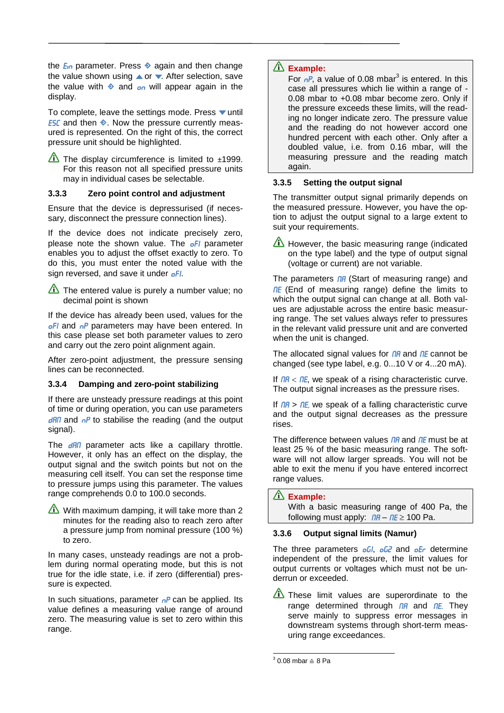the  $E_{\text{in}}$  parameter. Press  $\triangleleft$  again and then change the value shown using  $\triangle$  or  $\blacktriangledown$ . After selection, save the value with  $\triangle$  and  $\sigma$  will appear again in the display.

To complete, leave the settings mode. Press  $\blacktriangledown$  until **ESC** and then  $\triangle$ . Now the pressure currently measured is represented. On the right of this, the correct pressure unit should be highlighted.

The display circumference is limited to  $\pm$ 1999. For this reason not all specified pressure units may in individual cases be selectable.

#### **3.3.3 Zero point control and adjustment**

Ensure that the device is depressurised (if necessary, disconnect the pressure connection lines).

If the device does not indicate precisely zero, please note the shown value. The  $oF1$  parameter enables you to adjust the offset exactly to zero. To do this, you must enter the noted value with the sign reversed, and save it under oFI.

The entered value is purely a number value; no decimal point is shown

If the device has already been used, values for the oFI and oP parameters may have been entered. In this case please set both parameter values to zero and carry out the zero point alignment again.

After zero-point adjustment, the pressure sensing lines can be reconnected.

#### **3.3.4 Damping and zero-point stabilizing**

If there are unsteady pressure readings at this point of time or during operation, you can use parameters  $\theta$ AM and  $\theta$ <sup>P</sup> to stabilise the reading (and the output signal).

The  $\frac{d}{d\theta}$  parameter acts like a capillary throttle. However, it only has an effect on the display, the output signal and the switch points but not on the measuring cell itself. You can set the response time to pressure jumps using this parameter. The values range comprehends 0.0 to 100.0 seconds.



In many cases, unsteady readings are not a problem during normal operating mode, but this is not true for the idle state, i.e. if zero (differential) pressure is expected.

In such situations, parameter  $nP$  can be applied. Its value defines a measuring value range of around zero. The measuring value is set to zero within this range.

## **Example:**

For  $nP$ , a value of 0.08 mbar<sup>3</sup> is entered. In this case all pressures which lie within a range of - 0.08 mbar to +0.08 mbar become zero. Only if the pressure exceeds these limits, will the reading no longer indicate zero. The pressure value and the reading do not however accord one hundred percent with each other. Only after a doubled value, i.e. from 0.16 mbar, will the measuring pressure and the reading match again.

#### **3.3.5 Setting the output signal**

The transmitter output signal primarily depends on the measured pressure. However, you have the option to adjust the output signal to a large extent to suit your requirements.

However, the basic measuring range (indicated on the type label) and the type of output signal (voltage or current) are not variable.

The parameters  $\overline{\mathsf{n}}$  (Start of measuring range) and  $nE$  (End of measuring range) define the limits to which the output signal can change at all. Both values are adjustable across the entire basic measuring range. The set values always refer to pressures in the relevant valid pressure unit and are converted when the unit is changed.

The allocated signal values for  $\eta$  and  $\eta$  and  $\eta$  cannot be changed (see type label, e.g. 0...10 V or 4...20 mA).

If  $\theta$  /  $\theta$  /  $\theta$  /  $\theta$  /  $\theta$  /  $\theta$  /  $\theta$  /  $\theta$  /  $\theta$  /  $\theta$  /  $\theta$  /  $\theta$  /  $\theta$  /  $\theta$  /  $\theta$  /  $\theta$  /  $\theta$  /  $\theta$  /  $\theta$  /  $\theta$  /  $\theta$  /  $\theta$  /  $\theta$  /  $\theta$  /  $\theta$  /  $\theta$  /  $\theta$  /  $\theta$  /  $\theta$  /  $\theta$  /  $\theta$  / The output signal increases as the pressure rises.

If  $\theta$  >  $\theta$  =  $\theta$ , we speak of a falling characteristic curve and the output signal decreases as the pressure rises.

The difference between values  $\eta$ A and  $\eta$ E must be at least 25 % of the basic measuring range. The software will not allow larger spreads. You will not be able to exit the menu if you have entered incorrect range values.

#### **Example:**

With a basic measuring range of 400 Pa, the following must apply:  $\theta A - \theta E \ge 100$  Pa.

#### <span id="page-3-0"></span>**3.3.6 Output signal limits (Namur)**

The three parameters  $oE1$ ,  $oE2$  and  $oE<sub>F</sub>$  determine independent of the pressure, the limit values for output currents or voltages which must not be underrun or exceeded.

These limit values are superordinate to the range determined through  $\overline{DB}$  and  $\overline{DE}$ . They serve mainly to suppress error messages in downstream systems through short-term measuring range exceedances.

 $3$  0.08 mbar  $\triangleq$  8 Pa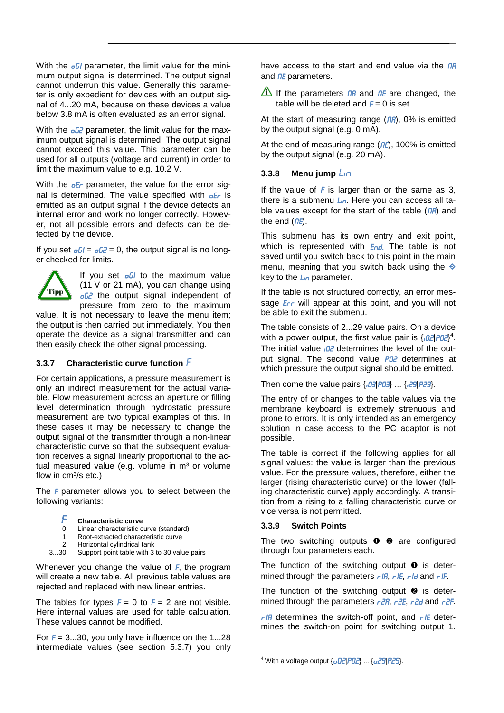With the  $oU$  parameter, the limit value for the minimum output signal is determined. The output signal cannot underrun this value. Generally this parameter is only expedient for devices with an output signal of 4...20 mA, because on these devices a value below 3.8 mA is often evaluated as an error signal.

With the  $\frac{d^2}{dx^2}$  parameter, the limit value for the maximum output signal is determined. The output signal cannot exceed this value. This parameter can be used for all outputs (voltage and current) in order to limit the maximum value to e.g. 10.2 V.

With the  $\sigma$ *E* parameter, the value for the error signal is determined. The value specified with  $\sigma$ Er is emitted as an output signal if the device detects an internal error and work no longer correctly. However, not all possible errors and defects can be detected by the device.

If you set  $\partial G = \partial G^2 = 0$ , the output signal is no longer checked for limits.



If you set  $oU$  to the maximum value (11 V or 21 mA), you can change using **oG2** the output signal independent of pressure from zero to the maximum

value. It is not necessary to leave the menu item; the output is then carried out immediately. You then operate the device as a signal transmitter and can then easily check the other signal processing.

### <span id="page-4-1"></span>**<sup>3</sup>.3.7 Characteristic curve function** F

For certain applications, a pressure measurement is only an indirect measurement for the actual variable. Flow measurement across an aperture or filling level determination through hydrostatic pressure measurement are two typical examples of this. In these cases it may be necessary to change the output signal of the transmitter through a non-linear characteristic curve so that the subsequent evaluation receives a signal linearly proportional to the actual measured value (e.g. volume in  $m<sup>3</sup>$  or volume flow in  $cm<sup>3</sup>/s$  etc.)

The F parameter allows you to select between the following variants:

#### **Characteristic curve**

- 0 Linear characteristic curve (standard)
- 1 Root-extracted characteristic curve
- 2 Horizontal cylindrical tank<br>3...30 Support point table with 3
- Support point table with 3 to 30 value pairs

Whenever you change the value of  $F$ , the program will create a new table. All previous table values are rejected and replaced with new linear entries.

The tables for types  $F = 0$  to  $F = 2$  are not visible. Here internal values are used for table calculation. These values cannot be modified.

For  $F = 3...30$ , you only have influence on the 1...28 intermediate values (see section [5.3.7\)](#page-4-1) you only have access to the start and end value via the  $\overline{M}$ and  $nE$  parameters.

If the parameters  $\overline{I}$  and  $\overline{I}$  are changed, the table will be deleted and  $F = 0$  is set.

At the start of measuring range  $($ *nR* $)$ , 0% is emitted by the output signal (e.g. 0 mA).

At the end of measuring range  $(ME)$ , 100% is emitted by the output signal (e.g. 20 mA).

### <span id="page-4-0"></span>**3.3.8 Menu** jump  $\frac{1}{2}$

If the value of  $F$  is larger than or the same as 3, there is a submenu  $\mathcal{L}_{10}$ . Here you can access all table values except for the start of the table  $($   $n$ A $)$  and the end  $($  $nE$ ).

This submenu has its own entry and exit point, which is represented with  $End$ . The table is not saved until you switch back to this point in the main menu, meaning that you switch back using the  $\Diamond$ key to the  $\mathsf{L}_{\mathsf{ID}}$  parameter.

If the table is not structured correctly, an error message *E<sub>rr</sub>* will appear at this point, and you will not be able to exit the submenu.

The table consists of 2...29 value pairs. On a device with a power output, the first value pair is  $\left\{ \frac{\partial^2}{\partial t^2} \right\}^4$ . The initial value  $\partial^2$  determines the level of the output signal. The second value **PD2** determines at which pressure the output signal should be emitted.

Then come the value pairs  $\{03|P03\}$  ...  $\{02|P29\}$ .

The entry of or changes to the table values via the membrane keyboard is extremely strenuous and prone to errors. It is only intended as an emergency solution in case access to the PC adaptor is not possible.

The table is correct if the following applies for all signal values: the value is larger than the previous value. For the pressure values, therefore, either the larger (rising characteristic curve) or the lower (falling characteristic curve) apply accordingly. A transition from a rising to a falling characteristic curve or vice versa is not permitted.

### **3.3.9 Switch Points**

The two switching outputs  $\bullet$   $\bullet$  are configured through four parameters each.

The function of the switching output  $\bullet$  is determined through the parameters  $rIR$ ,  $rIE$ ,  $rId$  and  $rIF$ .

The function of the switching output  $\bullet$  is determined through the parameters  $r^2R$ ,  $r^2E$ ,  $r^2d$  and  $r^2F$ .

 $r$ IR determines the switch-off point, and  $r$ IE determines the switch-on point for switching output 1.

<sup>&</sup>lt;sup>4</sup> With a voltage output  $\{\mu$ D2|PD2} ...  $\{\mu$ 29|P29}.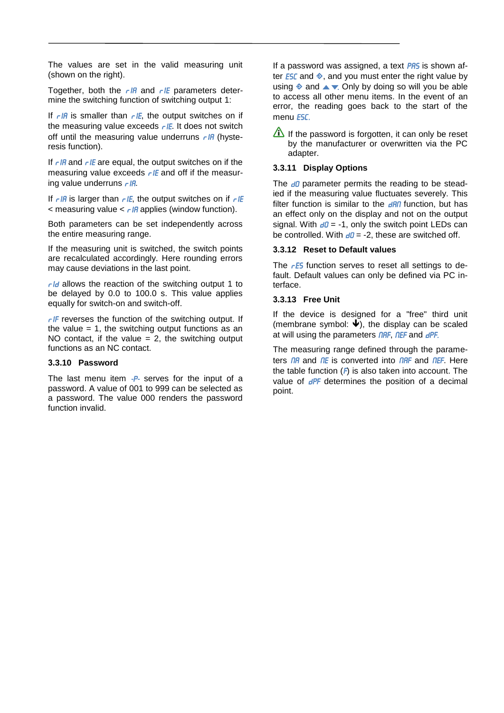The values are set in the valid measuring unit (shown on the right).

Together, both the  $r$ IA and  $r$ IE parameters determine the switching function of switching output 1:

If  $r$ IR is smaller than  $r$ IE, the output switches on if the measuring value exceeds  $r$  IE. It does not switch off until the measuring value underruns  $r$ IA (hysteresis function).

If  $r$ IR and  $r$ IE are equal, the output switches on if the measuring value exceeds  $rIE$  and off if the measuring value underruns  $r/R$ .

If  $r$  IR is larger than  $r$  IE, the output switches on if  $r$  IE  $\alpha$  measuring value  $\alpha$   $\alpha$  applies (window function).

Both parameters can be set independently across the entire measuring range.

If the measuring unit is switched, the switch points are recalculated accordingly. Here rounding errors may cause deviations in the last point.

 $r/d$  allows the reaction of the switching output 1 to be delayed by 0.0 to 100.0 s. This value applies equally for switch-on and switch-off.

 $r$  F reverses the function of the switching output. If the value  $= 1$ , the switching output functions as an NO contact, if the value  $= 2$ , the switching output functions as an NC contact.

#### **3.3.10 Password**

The last menu item  $-P$ - serves for the input of a password. A value of 001 to 999 can be selected as a password. The value 000 renders the password function invalid.

If a password was assigned, a text PRS is shown after **ESC** and  $\diamondsuit$ , and you must enter the right value by using  $\triangle$  and  $\triangle$   $\blacktriangledown$ . Only by doing so will you be able to access all other menu items. In the event of an error, the reading goes back to the start of the menu **ESC.** 

If the password is forgotten, it can only be reset by the manufacturer or overwritten via the PC adapter.

### **3.3.11 Display Options**

The  $d\theta$  parameter permits the reading to be steadied if the measuring value fluctuates severely. This filter function is similar to the  $\frac{d}{dP}$  function, but has an effect only on the display and not on the output signal. With  $d\theta$  = -1, only the switch point LEDs can be controlled. With  $d\theta = -2$ , these are switched off.

#### **3.3.12 Reset to Default values**

The  $rE5$  function serves to reset all settings to default. Default values can only be defined via PC interface.

#### **3.3.13 Free Unit**

If the device is designed for a "free" third unit (membrane symbol:  $\ddot{\blacklozenge}$ ), the display can be scaled at will using the parameters **NAF, NEF** and **dPF**.

The measuring range defined through the parameters  $\overline{I}$  and  $\overline{I}$  and  $\overline{I}$  is converted into  $\overline{I}$  and  $\overline{I}$  and  $\overline{I}$  and  $\overline{I}$  and  $\overline{I}$ the table function  $(F)$  is also taken into account. The value of  $dPF$  determines the position of a decimal point.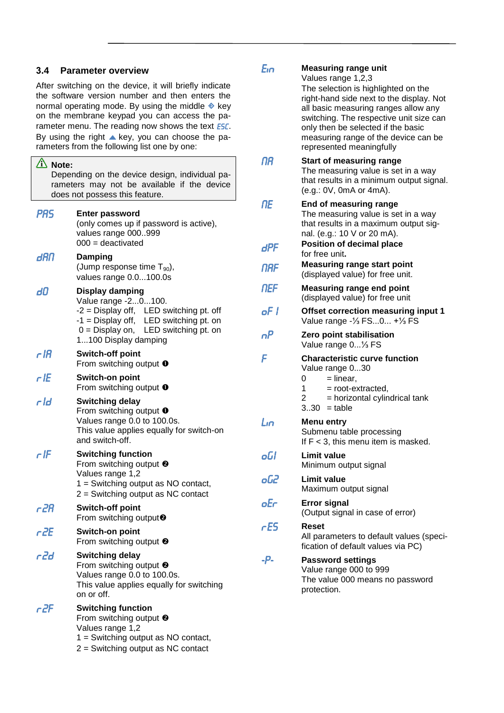### **3.4 Parameter overview**

After switching on the device, it will briefly indicate the software version number and then enters the normal operating mode. By using the middle  $\triangle$  key on the membrane keypad you can access the parameter menu. The reading now shows the text **ESC**. By using the right  $\blacktriangle$  key, you can choose the parameters from the following list one by one:

| $\hat{\mathbf{A}}$ Note:<br>Depending on the device design, individual pa-<br>rameters may not be available if the device<br>does not possess this feature. |                                                                                                                                                                                                        |  |  |
|-------------------------------------------------------------------------------------------------------------------------------------------------------------|--------------------------------------------------------------------------------------------------------------------------------------------------------------------------------------------------------|--|--|
| <b>PRS</b>                                                                                                                                                  | <b>Enter password</b><br>(only comes up if password is active),<br>values range 000999<br>$000 =$ deactivated                                                                                          |  |  |
| dAN                                                                                                                                                         | Damping<br>(Jump response time $T_{90}$ ),<br>values range 0.0100.0s                                                                                                                                   |  |  |
| dO                                                                                                                                                          | <b>Display damping</b><br>Value range -20100.<br>$-2$ = Display off, LED switching pt. off<br>-1 = Display off, LED switching pt. on<br>$0 =$ Display on, LED switching pt. on<br>1100 Display damping |  |  |
| r IR                                                                                                                                                        | <b>Switch-off point</b><br>From switching output $\bullet$                                                                                                                                             |  |  |
| r IE                                                                                                                                                        | Switch-on point<br>From switching output $\bullet$                                                                                                                                                     |  |  |
| r Id                                                                                                                                                        | <b>Switching delay</b><br>From switching output $\bullet$<br>Values range 0.0 to 100.0s.<br>This value applies equally for switch-on<br>and switch-off.                                                |  |  |
| r IF                                                                                                                                                        | <b>Switching function</b><br>From switching output <sup>@</sup><br>Values range 1,2<br>$1 =$ Switching output as NO contact,<br>$2 =$ Switching output as NC contact                                   |  |  |
| r 2R                                                                                                                                                        | <b>Switch-off point</b><br>From switching output <sup>2</sup>                                                                                                                                          |  |  |
| c <sub>2</sub> E                                                                                                                                            | Switch-on point<br>From switching output $\bullet$                                                                                                                                                     |  |  |
| r2d                                                                                                                                                         | <b>Switching delay</b><br>From switching output $\bullet$<br>Values range 0.0 to 100.0s.<br>This value applies equally for switching<br>on or off.                                                     |  |  |
| r 2F                                                                                                                                                        | <b>Switching function</b><br>From switching output <sup>@</sup><br>Values range 1,2<br>1 = Switching output as NO contact,<br>$2 =$ Switching output as NC contact                                     |  |  |

| Eın       | <b>Measuring range unit</b><br>Values range 1,2,3<br>The selection is highlighted on the<br>right-hand side next to the display. Not<br>all basic measuring ranges allow any<br>switching. The respective unit size can<br>only then be selected if the basic |
|-----------|---------------------------------------------------------------------------------------------------------------------------------------------------------------------------------------------------------------------------------------------------------------|
|           | measuring range of the device can be<br>represented meaningfully                                                                                                                                                                                              |
| ΠR        | <b>Start of measuring range</b><br>The measuring value is set in a way<br>that results in a minimum output signal.<br>(e.g.: 0V, 0mA or 4mA).                                                                                                                 |
| <b>NE</b> | End of measuring range<br>The measuring value is set in a way<br>that results in a maximum output sig-<br>nal. (e.g.: 10 V or 20 mA).                                                                                                                         |
| dPF       | <b>Position of decimal place</b><br>for free unit.                                                                                                                                                                                                            |
| NAF       | <b>Measuring range start point</b><br>(displayed value) for free unit.                                                                                                                                                                                        |
| NEF       | <b>Measuring range end point</b><br>(displayed value) for free unit                                                                                                                                                                                           |
| oF I      | Offset correction measuring input 1<br>Value range -1/ <sub>3</sub> FS0 +1/ <sub>3</sub> FS                                                                                                                                                                   |
| nP        | Zero point stabilisation<br>Value range 0 <sup>1</sup> / <sub>3</sub> FS                                                                                                                                                                                      |
| F         | <b>Characteristic curve function</b><br>Value range 030<br>$=$ linear,<br>0<br>1<br>= root-extracted,<br>$\overline{2}$<br>= horizontal cylindrical tank<br>$330 = table$                                                                                     |
| Lın       | Menu entry<br>Submenu table processing<br>If $F < 3$ , this menu item is masked.                                                                                                                                                                              |
| oGl       | <b>Limit value</b><br>Minimum output signal                                                                                                                                                                                                                   |
| oG2       | <b>Limit value</b><br>Maximum output signal                                                                                                                                                                                                                   |
| oEr       | <b>Error signal</b><br>(Output signal in case of error)                                                                                                                                                                                                       |
| rES       | Reset<br>All parameters to default values (speci-<br>fication of default values via PC)                                                                                                                                                                       |
| -Р-       | <b>Password settings</b><br>Value range 000 to 999<br>The value 000 means no password                                                                                                                                                                         |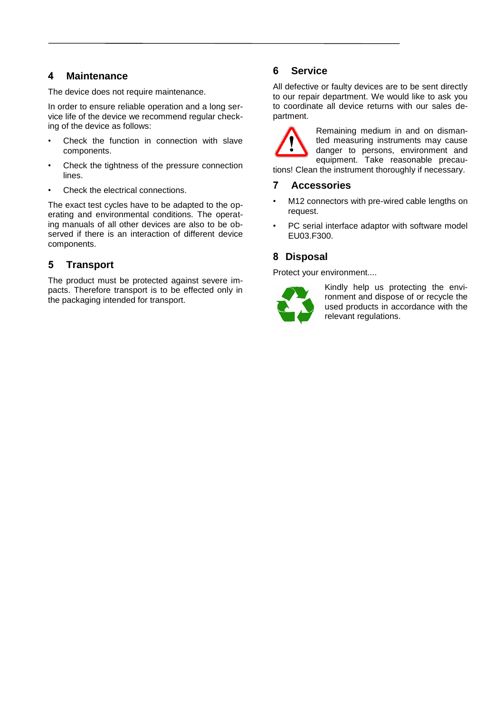## **4 Maintenance**

The device does not require maintenance.

In order to ensure reliable operation and a long service life of the device we recommend regular checking of the device as follows:

- Check the function in connection with slave components.
- Check the tightness of the pressure connection lines.
- Check the electrical connections.

The exact test cycles have to be adapted to the operating and environmental conditions. The operating manuals of all other devices are also to be observed if there is an interaction of different device components.

# **5 Transport**

The product must be protected against severe impacts. Therefore transport is to be effected only in the packaging intended for transport.

## **6 Service**

All defective or faulty devices are to be sent directly to our repair department. We would like to ask you to coordinate all device returns with our sales department.

Remaining medium in and on dismantled measuring instruments may cause danger to persons, environment and equipment. Take reasonable precautions! Clean the instrument thoroughly if necessary.

# **7 Accessories**

- M12 connectors with pre-wired cable lengths on request.
- PC serial interface adaptor with software model EU03.F300.

# **8 Disposal**

Protect your environment....



Kindly help us protecting the environment and dispose of or recycle the used products in accordance with the relevant regulations.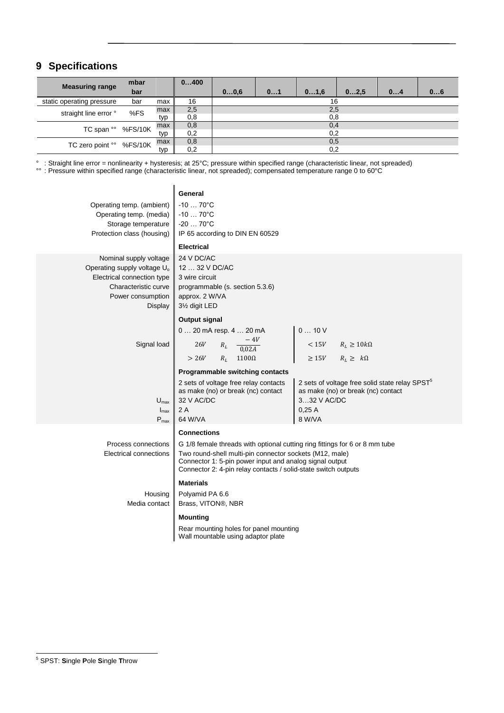# **9 Specifications**

| <b>Measuring range</b>    | mbar    |     | 0400 |      |    |      |      |    |    |
|---------------------------|---------|-----|------|------|----|------|------|----|----|
|                           | bar     |     |      | 00,6 | 01 | 01,6 | 02,5 | 04 | 06 |
| static operating pressure | bar     | max | 16   | 16   |    |      |      |    |    |
| straight line error °     | %FS     | max | 2,5  | 2,5  |    |      |      |    |    |
|                           |         | typ | 0,8  |      |    | 0,8  |      |    |    |
| TC span oo                | %FS/10K | max | 0,8  | 0,4  |    |      |      |    |    |
|                           |         | typ | 0,2  |      |    | 0,2  |      |    |    |
| TC zero point °°          | %FS/10K | max | 0,8  |      |    | 0,5  |      |    |    |
|                           |         | typ | 0,2  |      |    | 0,2  |      |    |    |

° : Straight line error = nonlinearity + hysteresis; at 25°C; pressure within specified range (characteristic linear, not spreaded)

°° : Pressure within specified range (characteristic linear, not spreaded); compensated temperature range 0 to 60°C

| Operating temp. (ambient)<br>Operating temp. (media)<br>Storage temperature<br>Protection class (housing)                                               | General<br>$-1070^{\circ}C$<br>$-1070^{\circ}C$<br>$-2070^{\circ}C$<br>IP 65 according to DIN EN 60529<br><b>Electrical</b>                                                                                                                                                               |                                                                                                                                    |
|---------------------------------------------------------------------------------------------------------------------------------------------------------|-------------------------------------------------------------------------------------------------------------------------------------------------------------------------------------------------------------------------------------------------------------------------------------------|------------------------------------------------------------------------------------------------------------------------------------|
| Nominal supply voltage<br>Operating supply voltage U <sub>o</sub><br>Electrical connection type<br>Characteristic curve<br>Power consumption<br>Display | 24 V DC/AC<br>12  32 V DC/AC<br>3 wire circuit<br>programmable (s. section 5.3.6)<br>approx. 2 W/VA<br>31/ <sub>2</sub> digit LED                                                                                                                                                         |                                                                                                                                    |
| Signal load                                                                                                                                             | Output signal<br>0  20 mA resp. 4  20 mA<br>$R_L \quad \frac{-4V}{0.02A}$<br>26V<br>$> 26V$ $R_L$ 1100 $\Omega$<br>Programmable switching contacts                                                                                                                                        | 010V<br>$< 15V$ $R_L \ge 10k\Omega$<br>$R_L \geq k\Omega$<br>$\geq 15V$                                                            |
| $U_{\text{max}}$<br>$I_{\text{max}}$<br>$P_{max}$                                                                                                       | 2 sets of voltage free relay contacts<br>as make (no) or break (nc) contact<br>32 V AC/DC<br>2A<br>64 W/VA                                                                                                                                                                                | 2 sets of voltage free solid state relay SPST <sup>5</sup><br>as make (no) or break (nc) contact<br>332 V AC/DC<br>0.25A<br>8 W/VA |
| Process connections<br>Electrical connections                                                                                                           | <b>Connections</b><br>G 1/8 female threads with optional cutting ring fittings for 6 or 8 mm tube<br>Two round-shell multi-pin connector sockets (M12, male)<br>Connector 1: 5-pin power input and analog signal output<br>Connector 2: 4-pin relay contacts / solid-state switch outputs |                                                                                                                                    |
| Housing<br>Media contact                                                                                                                                | <b>Materials</b><br>Polyamid PA 6.6<br>Brass, VITON®, NBR<br><b>Mounting</b><br>Rear mounting holes for panel mounting<br>Wall mountable using adaptor plate                                                                                                                              |                                                                                                                                    |
|                                                                                                                                                         |                                                                                                                                                                                                                                                                                           |                                                                                                                                    |

<sup>5</sup> SPST: **S**ingle **P**ole **S**ingle **T**hrow